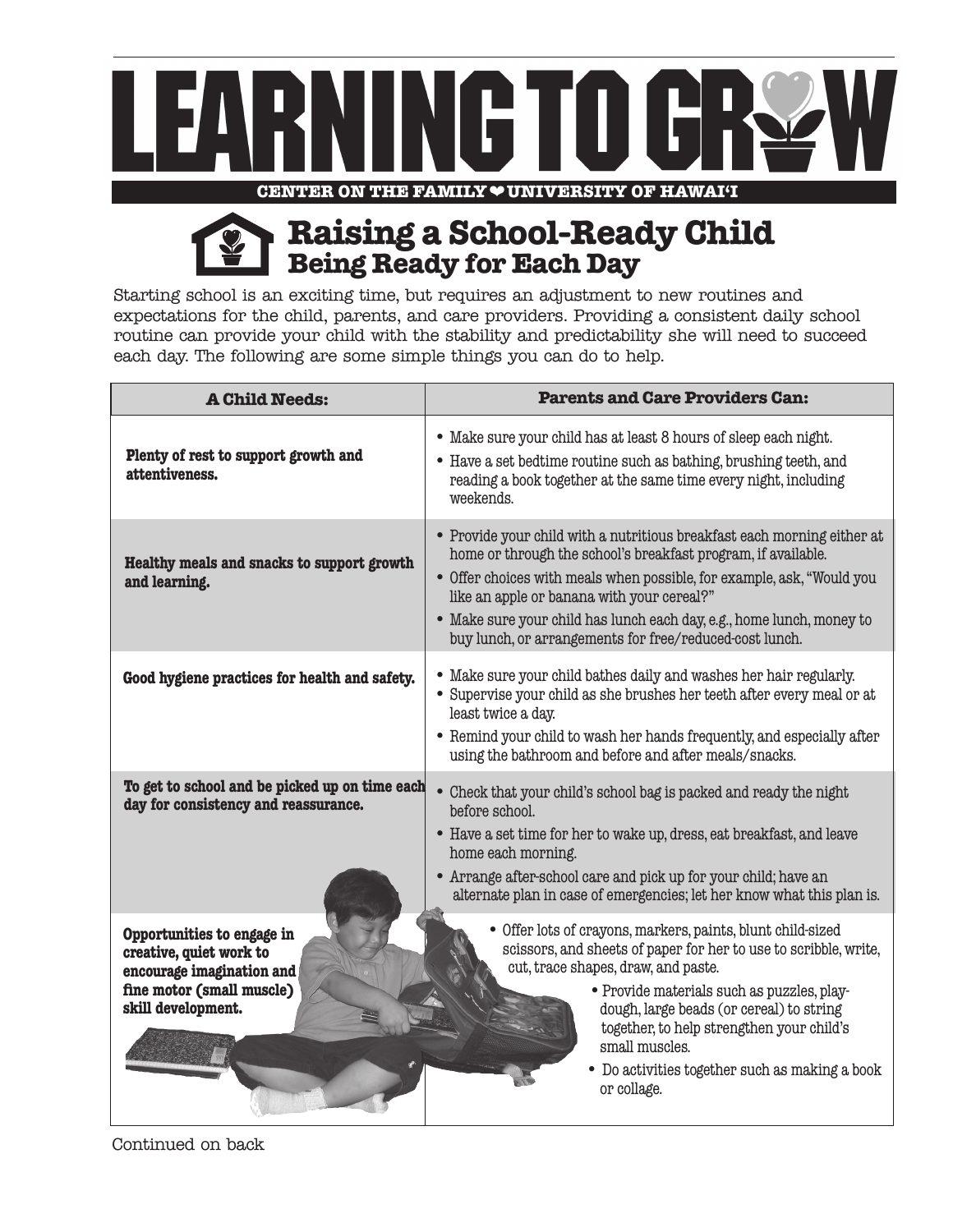

## **Being Ready for Each Day Raising a School-Ready Child**

Starting school is an exciting time, but requires an adjustment to new routines and expectations for the child, parents, and care providers. Providing a consistent daily school routine can provide your child with the stability and predictability she will need to succeed each day. The following are some simple things you can do to help.

| <b>A Child Needs:</b>                                                                                                                 | <b>Parents and Care Providers Can:</b>                                                                                                                                                                                                                                                                                                                                                               |
|---------------------------------------------------------------------------------------------------------------------------------------|------------------------------------------------------------------------------------------------------------------------------------------------------------------------------------------------------------------------------------------------------------------------------------------------------------------------------------------------------------------------------------------------------|
| Plenty of rest to support growth and<br>attentiveness.                                                                                | • Make sure your child has at least 8 hours of sleep each night.<br>• Have a set bedtime routine such as bathing, brushing teeth, and<br>reading a book together at the same time every night, including<br>weekends.                                                                                                                                                                                |
| Healthy meals and snacks to support growth<br>and learning.                                                                           | • Provide your child with a nutritious breakfast each morning either at<br>home or through the school's breakfast program, if available.<br>• Offer choices with meals when possible, for example, ask, "Would you<br>like an apple or banana with your cereal?"<br>• Make sure your child has lunch each day, e.g., home lunch, money to<br>buy lunch, or arrangements for free/reduced-cost lunch. |
| Good hygiene practices for health and safety.                                                                                         | • Make sure your child bathes daily and washes her hair regularly.<br>• Supervise your child as she brushes her teeth after every meal or at<br>least twice a day.<br>• Remind your child to wash her hands frequently, and especially after<br>using the bathroom and before and after meals/snacks.                                                                                                |
| To get to school and be picked up on time each<br>day for consistency and reassurance.                                                | • Check that your child's school bag is packed and ready the night<br>before school.<br>• Have a set time for her to wake up, dress, eat breakfast, and leave<br>home each morning.<br>• Arrange after-school care and pick up for your child; have an<br>alternate plan in case of emergencies; let her know what this plan is.                                                                     |
| Opportunities to engage in<br>creative, quiet work to<br>encourage imagination and<br>fine motor (small muscle)<br>skill development. | • Offer lots of crayons, markers, paints, blunt child-sized<br>scissors, and sheets of paper for her to use to scribble, write,<br>cut, trace shapes, draw, and paste.<br>• Provide materials such as puzzles, play-<br>dough, large beads (or cereal) to string<br>together, to help strengthen your child's<br>small muscles.<br>• Do activities together such as making a book<br>or collage.     |

Continued on back